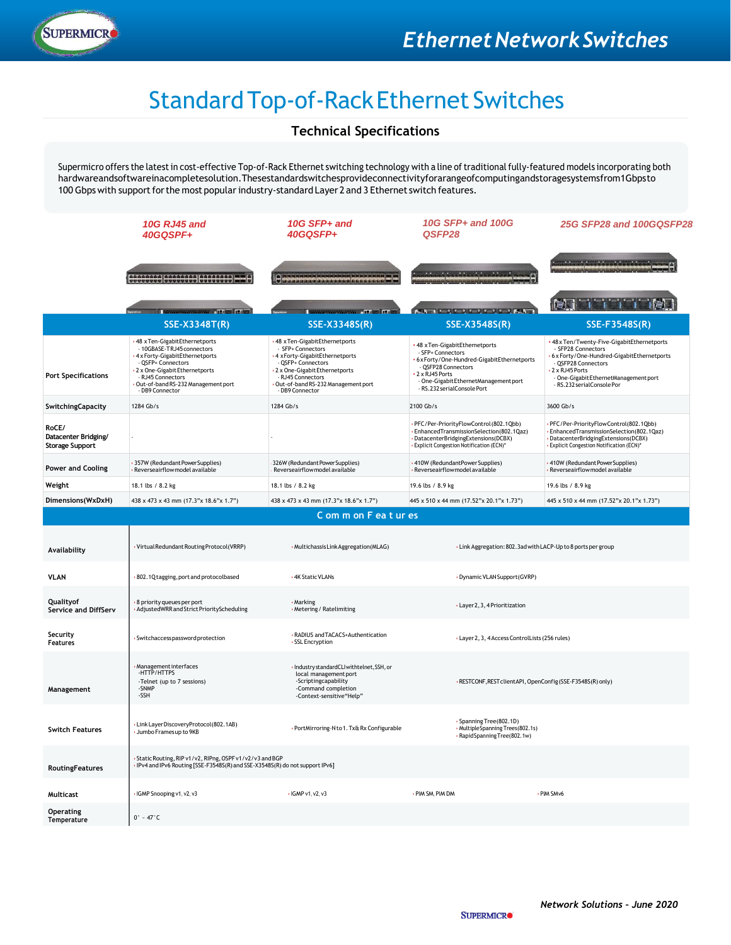

# Standard Top-of-Rack Ethernet Switches

### **Technical Specifications**

Supermicro offers the latestin cost-effective Top-of-Rack Ethernet switching technology with a line oftraditional fully-featured models incorporating both hardwareandsoftwareinacompletesolution.Thesestandardswitchesprovideconnectivityforarangeofcomputingandstoragesystemsfrom1Gbpsto 100 Gbps with support for the most popular industry-standard Layer 2 and 3 Ethernet switch features.

|                                                         | <b>10G RJ45 and</b><br>40GQSPF+                                                                                                                                                                                                     | 10G SFP+ and<br>40GQSFP+                                                                                                                                                                                                 | 10G SFP+ and 100G<br>QSFP28                                                                                                                                                                                                                                                                                                                                                                                                                      | 25G SFP28 and 100GQSFP28                                                                                                                                          |  |
|---------------------------------------------------------|-------------------------------------------------------------------------------------------------------------------------------------------------------------------------------------------------------------------------------------|--------------------------------------------------------------------------------------------------------------------------------------------------------------------------------------------------------------------------|--------------------------------------------------------------------------------------------------------------------------------------------------------------------------------------------------------------------------------------------------------------------------------------------------------------------------------------------------------------------------------------------------------------------------------------------------|-------------------------------------------------------------------------------------------------------------------------------------------------------------------|--|
|                                                         | <b>TIITIHHHHHHHHHH</b>                                                                                                                                                                                                              | ) <del>Species and a</del> British                                                                                                                                                                                       | 49-14-100318-16-100330-100-3                                                                                                                                                                                                                                                                                                                                                                                                                     | <b>ALCOHOL: ACRAIGANCHI</b>                                                                                                                                       |  |
|                                                         | <b>SERVICE OF A STATE OF STATE</b>                                                                                                                                                                                                  | <b>WARRANTS &amp; HAVE HIM OF</b>                                                                                                                                                                                        | <b>BARTHY MACHINE AND A BARTH</b>                                                                                                                                                                                                                                                                                                                                                                                                                | <b>The Team of Action</b>                                                                                                                                         |  |
|                                                         | <b>SSE-X3348T(R)</b>                                                                                                                                                                                                                | <b>SSE-X3348S(R)</b>                                                                                                                                                                                                     | SSE-X3548S(R)                                                                                                                                                                                                                                                                                                                                                                                                                                    | SSE-F3548S(R)                                                                                                                                                     |  |
| <b>Port Specifications</b>                              | 48 x Ten-Gigabit Ethernetports<br>- 10GBASE-TRJ45 connectors<br>4 x Forty-GigabitEthernetports<br>- QSFP+ Connectors<br>2 x One-Gigabit Ethernetports<br>- RJ45 Connectors<br>Out-of-band RS-232 Management port<br>- DB9 Connector | 48 x Ten-GigabitEthernetports<br>- SFP+ Connectors<br>4 xForty-GigabitEthernetports<br>- QSFP+ Connectors<br>2 x One-Gigabit Ethernetports<br>- RJ45 Connectors<br>Out-of-band RS-232 Management port<br>- DB9 Connector | +48 x Ten/Twenty-Five-GigabitEthernetports<br>48 x Ten-GigabitEthernetports<br>- SFP28 Connectors<br>- SFP+ Connectors<br>6 x Forty/One-Hundred-GigabitEthernetports<br>6xForty/One-Hundred-GigabitEthernetports<br>QSFP28 Connectors<br>- QSFP28 Connectors<br>2 x RJ45 Ports<br>2 x RJ45 Ports<br>- One-Gigabit EthernetManagement port<br>- One-Gigabit Ethernet Management port<br>- RS.232 serialConsole Por<br>- RS.232 serialConsole Port |                                                                                                                                                                   |  |
| SwitchingCapacity                                       | 1284 Gb/s                                                                                                                                                                                                                           | 1284 Gb/s                                                                                                                                                                                                                | 2100 Gb/s                                                                                                                                                                                                                                                                                                                                                                                                                                        | 3600 Gb/s                                                                                                                                                         |  |
| RoCE/<br>Datacenter Bridging/<br><b>Storage Support</b> |                                                                                                                                                                                                                                     |                                                                                                                                                                                                                          | PFC/Per-PriorityFlowControl (802.1Qbb)<br>EnhancedTransmissionSelection(802.1Qaz)<br>DatacenterBridgingExtensions(DCBX)<br>· Explicit Congestion Notification (ECN)*                                                                                                                                                                                                                                                                             | PFC/Per-PriorityFlowControl(802.1Qbb)<br>EnhancedTransmissionSelection(802.1Qaz)<br>DatacenterBridgingExtensions(DCBX)<br>Explicit Congestion Notification (ECN)* |  |
| <b>Power and Cooling</b>                                | 357W (Redundant Power Supplies)<br>Reverseairflow model available                                                                                                                                                                   | 326W (Redundant Power Supplies)<br>Reverseairflow model available                                                                                                                                                        | · 410W (RedundantPower Supplies)<br>· Reverseairflow model available                                                                                                                                                                                                                                                                                                                                                                             | 410W (Redundant Power Supplies)<br>Reverseairflow model available                                                                                                 |  |
| Weight                                                  | 18.1 lbs / 8.2 kg                                                                                                                                                                                                                   | 18.1 lbs / 8.2 kg                                                                                                                                                                                                        | 19.6 lbs / 8.9 kg                                                                                                                                                                                                                                                                                                                                                                                                                                | 19.6 lbs / 8.9 kg                                                                                                                                                 |  |
| Dimensions(WxDxH)                                       | 438 x 473 x 43 mm (17.3"x 18.6"x 1.7")                                                                                                                                                                                              | 438 x 473 x 43 mm (17.3"x 18.6"x 1.7")                                                                                                                                                                                   | 445 x 510 x 44 mm (17.52"x 20.1"x 1.73")                                                                                                                                                                                                                                                                                                                                                                                                         | 445 x 510 x 44 mm (17.52"x 20.1"x 1.73")                                                                                                                          |  |
|                                                         |                                                                                                                                                                                                                                     | C om m on F ea t ur es                                                                                                                                                                                                   |                                                                                                                                                                                                                                                                                                                                                                                                                                                  |                                                                                                                                                                   |  |
| Availability                                            | Virtual Redundant Routing Protocol (VRRP)                                                                                                                                                                                           | · Multichassis Link Aggregation (MLAG)                                                                                                                                                                                   | . Link Aggregation: 802. 3ad with LACP-Up to 8 ports per group                                                                                                                                                                                                                                                                                                                                                                                   |                                                                                                                                                                   |  |
| <b>VLAN</b>                                             | · 802.1Q tagging, port and protocolbased                                                                                                                                                                                            | . 4K Static VLANs                                                                                                                                                                                                        | · Dynamic VLAN Support (GVRP)                                                                                                                                                                                                                                                                                                                                                                                                                    |                                                                                                                                                                   |  |
| Qualityof<br><b>Service and DiffServ</b>                | 8 priority queues per port<br>AdjustedWRR and Strict PriorityScheduling                                                                                                                                                             | · Marking<br>· Metering / Ratelimiting                                                                                                                                                                                   | · Layer 2, 3, 4 Prioritization                                                                                                                                                                                                                                                                                                                                                                                                                   |                                                                                                                                                                   |  |
| Security<br><b>Features</b>                             | · Switchaccess password protection                                                                                                                                                                                                  | · RADIUS and TACACS+Authentication<br>· SSL Encryption                                                                                                                                                                   | · Layer 2, 3, 4 Access ControlLists (256 rules)                                                                                                                                                                                                                                                                                                                                                                                                  |                                                                                                                                                                   |  |
| Management                                              | Management interfaces<br>-HTTP/HTTPS<br>-Telnet (up to 7 sessions)<br>-SNMP<br>-SSH                                                                                                                                                 | Industry standardCLIwithtelnet, SSH, or<br>local management port<br>-Scriptingcapability<br>-Command completion<br>-Context-sensitive"Help"                                                                              | . RESTCONF, REST clientAPI, OpenConfig (SSE-F3548S(R) only)                                                                                                                                                                                                                                                                                                                                                                                      |                                                                                                                                                                   |  |
| <b>Switch Features</b>                                  | Link Layer Discovery Protocol (802.1AB)<br>Jumbo Framesup to 9KB                                                                                                                                                                    | · PortMirroring-N to 1. Tx& Rx Configurable                                                                                                                                                                              | · Spanning Tree(802.1D)<br>· Multiple Spanning Trees (802.1s)<br>· Rapid Spanning Tree(802.1w)                                                                                                                                                                                                                                                                                                                                                   |                                                                                                                                                                   |  |
| <b>RoutingFeatures</b>                                  | Static Routing, RIP v1/v2, RIPng, OSPF v1/v2/v3 and BGP<br>IPv4 and IPv6 Routing [SSE-F3548S(R) and SSE-X3548S(R) do not support IPv6]                                                                                              |                                                                                                                                                                                                                          |                                                                                                                                                                                                                                                                                                                                                                                                                                                  |                                                                                                                                                                   |  |
| Multicast                                               | . IGMP Snooping v1, v2, v3                                                                                                                                                                                                          | $\cdot$ IGMP v1, v2, v3                                                                                                                                                                                                  | · PIM SM, PIM DM                                                                                                                                                                                                                                                                                                                                                                                                                                 | · PIM SMv6                                                                                                                                                        |  |
| Operating<br>Temperature                                | $0^\circ - 47^\circ C$                                                                                                                                                                                                              |                                                                                                                                                                                                                          |                                                                                                                                                                                                                                                                                                                                                                                                                                                  |                                                                                                                                                                   |  |